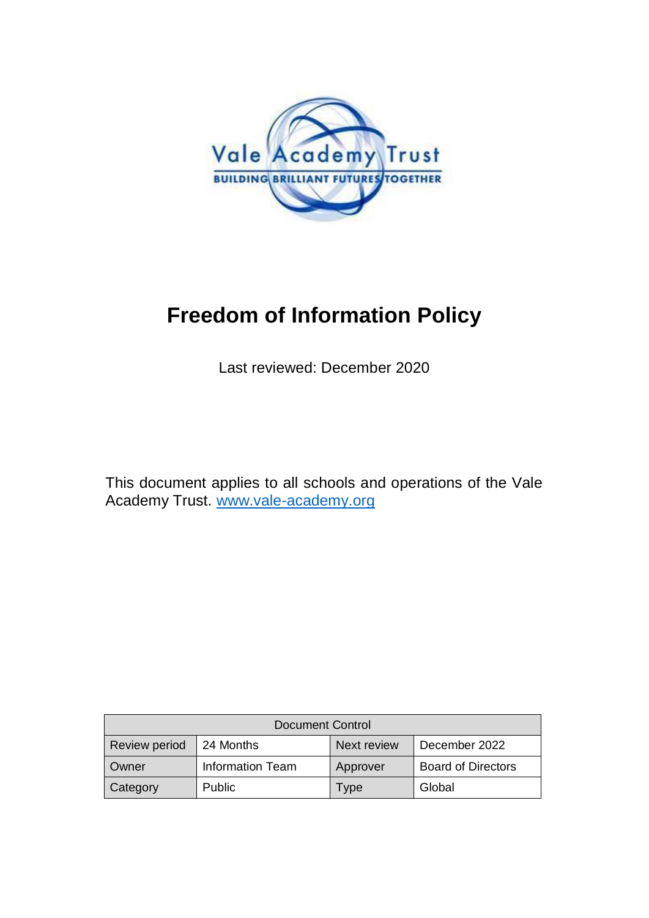

# **Freedom of Information Policy**

Last reviewed: December 2020

This document applies to all schools and operations of the Vale Academy Trust. [www.vale-academy.org](http://www.vale-academy.org/)

| <b>Document Control</b> |                         |             |                           |
|-------------------------|-------------------------|-------------|---------------------------|
| <b>Review period</b>    | 24 Months               | Next review | December 2022             |
| Owner                   | <b>Information Team</b> | Approver    | <b>Board of Directors</b> |
| Category                | Public                  | <b>Type</b> | Global                    |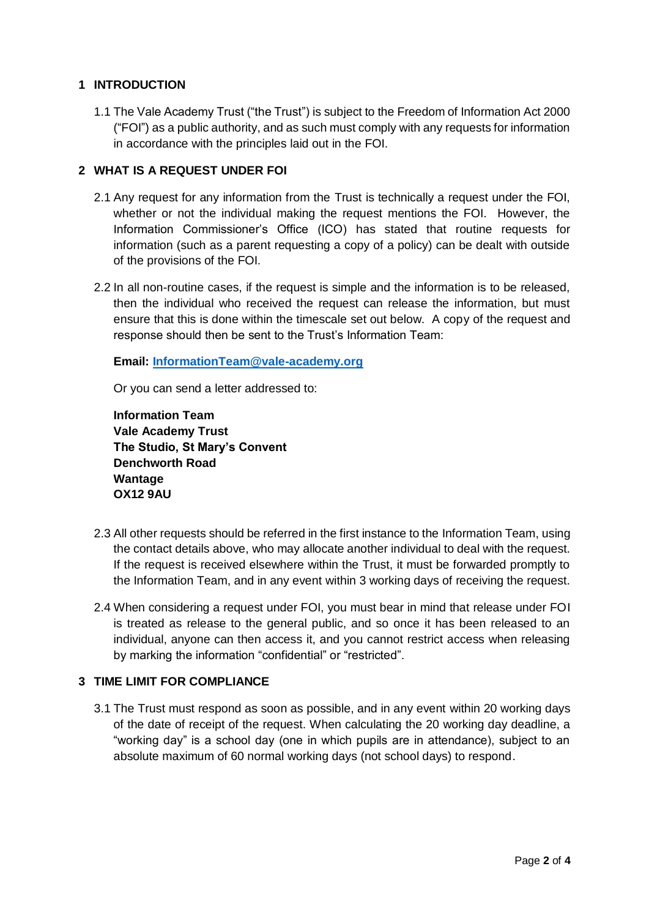## **1 INTRODUCTION**

1.1 The Vale Academy Trust ("the Trust") is subject to the Freedom of Information Act 2000 ("FOI") as a public authority, and as such must comply with any requests for information in accordance with the principles laid out in the FOI.

## **2 WHAT IS A REQUEST UNDER FOI**

- 2.1 Any request for any information from the Trust is technically a request under the FOI, whether or not the individual making the request mentions the FOI. However, the Information Commissioner's Office (ICO) has stated that routine requests for information (such as a parent requesting a copy of a policy) can be dealt with outside of the provisions of the FOI.
- 2.2 In all non-routine cases, if the request is simple and the information is to be released, then the individual who received the request can release the information, but must ensure that this is done within the timescale set out below. A copy of the request and response should then be sent to the Trust's Information Team:

**Email: [InformationTeam@vale-academy.org](mailto:InformationTeam@vale-academy.org)**

Or you can send a letter addressed to:

**Information Team Vale Academy Trust The Studio, St Mary's Convent Denchworth Road Wantage OX12 9AU**

- 2.3 All other requests should be referred in the first instance to the Information Team, using the contact details above, who may allocate another individual to deal with the request. If the request is received elsewhere within the Trust, it must be forwarded promptly to the Information Team, and in any event within 3 working days of receiving the request.
- 2.4 When considering a request under FOI, you must bear in mind that release under FOI is treated as release to the general public, and so once it has been released to an individual, anyone can then access it, and you cannot restrict access when releasing by marking the information "confidential" or "restricted".

## **3 TIME LIMIT FOR COMPLIANCE**

3.1 The Trust must respond as soon as possible, and in any event within 20 working days of the date of receipt of the request. When calculating the 20 working day deadline, a "working day" is a school day (one in which pupils are in attendance), subject to an absolute maximum of 60 normal working days (not school days) to respond.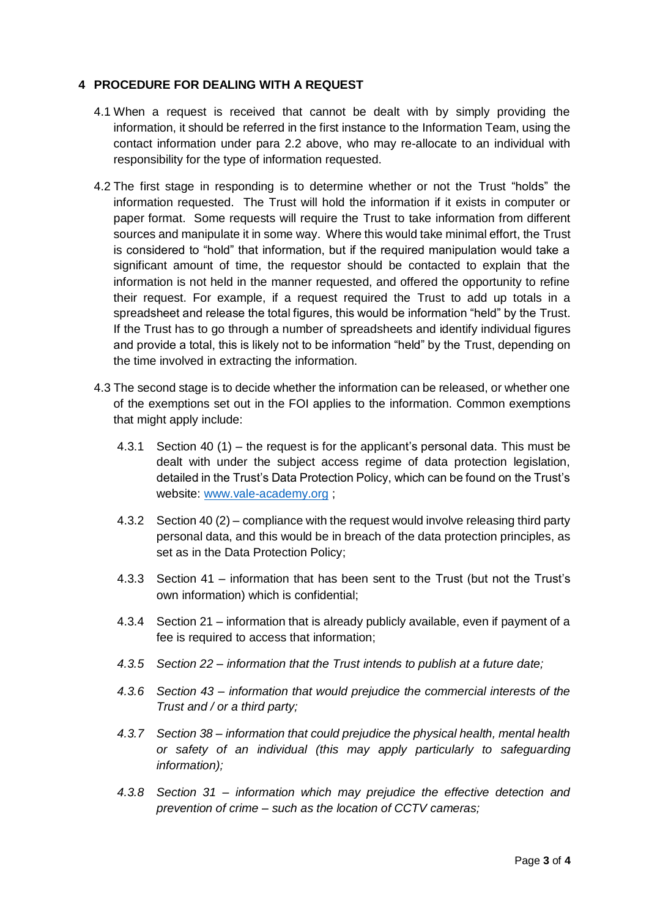## **4 PROCEDURE FOR DEALING WITH A REQUEST**

- 4.1 When a request is received that cannot be dealt with by simply providing the information, it should be referred in the first instance to the Information Team, using the contact information under para 2.2 above, who may re-allocate to an individual with responsibility for the type of information requested.
- 4.2 The first stage in responding is to determine whether or not the Trust "holds" the information requested. The Trust will hold the information if it exists in computer or paper format. Some requests will require the Trust to take information from different sources and manipulate it in some way. Where this would take minimal effort, the Trust is considered to "hold" that information, but if the required manipulation would take a significant amount of time, the requestor should be contacted to explain that the information is not held in the manner requested, and offered the opportunity to refine their request. For example, if a request required the Trust to add up totals in a spreadsheet and release the total figures, this would be information "held" by the Trust. If the Trust has to go through a number of spreadsheets and identify individual figures and provide a total, this is likely not to be information "held" by the Trust, depending on the time involved in extracting the information.
- 4.3 The second stage is to decide whether the information can be released, or whether one of the exemptions set out in the FOI applies to the information. Common exemptions that might apply include:
	- 4.3.1 Section 40 (1) the request is for the applicant's personal data. This must be dealt with under the subject access regime of data protection legislation, detailed in the Trust's Data Protection Policy, which can be found on the Trust's website: [www.vale-academy.org](http://www.vale-academy.org/) ;
	- 4.3.2 Section 40 (2) compliance with the request would involve releasing third party personal data, and this would be in breach of the data protection principles, as set as in the Data Protection Policy;
	- 4.3.3 Section 41 information that has been sent to the Trust (but not the Trust's own information) which is confidential;
	- 4.3.4 Section 21 information that is already publicly available, even if payment of a fee is required to access that information;
	- *4.3.5 Section 22 – information that the Trust intends to publish at a future date;*
	- *4.3.6 Section 43 – information that would prejudice the commercial interests of the Trust and / or a third party;*
	- *4.3.7 Section 38 – information that could prejudice the physical health, mental health or safety of an individual (this may apply particularly to safeguarding information);*
	- *4.3.8 Section 31 – information which may prejudice the effective detection and prevention of crime – such as the location of CCTV cameras;*